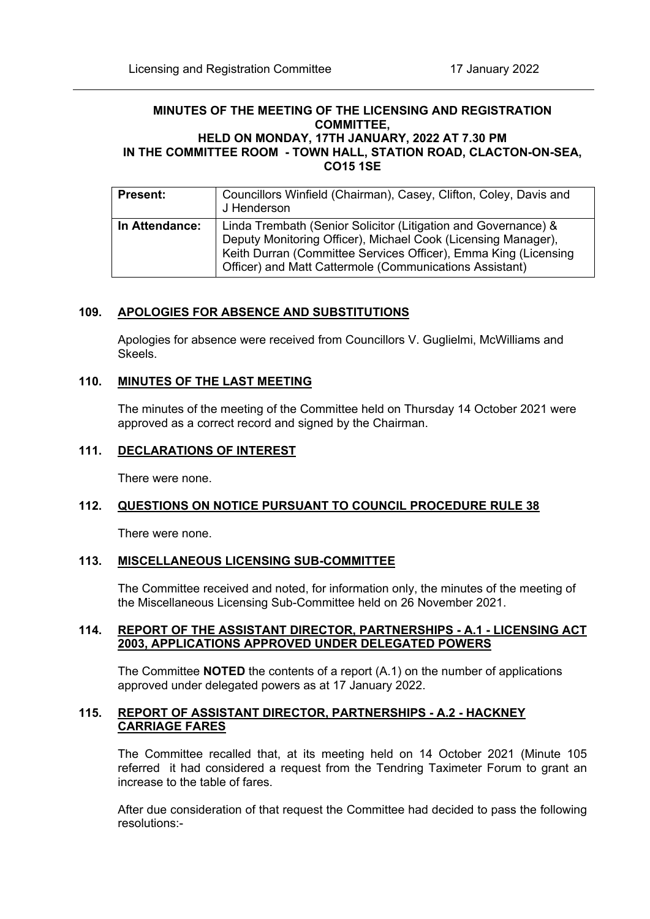### **MINUTES OF THE MEETING OF THE LICENSING AND REGISTRATION COMMITTEE, HELD ON MONDAY, 17TH JANUARY, 2022 AT 7.30 PM IN THE COMMITTEE ROOM - TOWN HALL, STATION ROAD, CLACTON-ON-SEA, CO15 1SE**

| <b>Present:</b> | Councillors Winfield (Chairman), Casey, Clifton, Coley, Davis and<br>J Henderson                                                                                                                                                                              |
|-----------------|---------------------------------------------------------------------------------------------------------------------------------------------------------------------------------------------------------------------------------------------------------------|
| In Attendance:  | Linda Trembath (Senior Solicitor (Litigation and Governance) &<br>Deputy Monitoring Officer), Michael Cook (Licensing Manager),<br>Keith Durran (Committee Services Officer), Emma King (Licensing<br>Officer) and Matt Cattermole (Communications Assistant) |

# **109. APOLOGIES FOR ABSENCE AND SUBSTITUTIONS**

Apologies for absence were received from Councillors V. Guglielmi, McWilliams and Skeels.

## **110. MINUTES OF THE LAST MEETING**

The minutes of the meeting of the Committee held on Thursday 14 October 2021 were approved as a correct record and signed by the Chairman.

#### **111. DECLARATIONS OF INTEREST**

There were none.

## **112. QUESTIONS ON NOTICE PURSUANT TO COUNCIL PROCEDURE RULE 38**

There were none.

## **113. MISCELLANEOUS LICENSING SUB-COMMITTEE**

The Committee received and noted, for information only, the minutes of the meeting of the Miscellaneous Licensing Sub-Committee held on 26 November 2021.

## **114. REPORT OF THE ASSISTANT DIRECTOR, PARTNERSHIPS - A.1 - LICENSING ACT 2003, APPLICATIONS APPROVED UNDER DELEGATED POWERS**

The Committee **NOTED** the contents of a report (A.1) on the number of applications approved under delegated powers as at 17 January 2022.

# **115. REPORT OF ASSISTANT DIRECTOR, PARTNERSHIPS - A.2 - HACKNEY CARRIAGE FARES**

The Committee recalled that, at its meeting held on 14 October 2021 (Minute 105 referred it had considered a request from the Tendring Taximeter Forum to grant an increase to the table of fares.

After due consideration of that request the Committee had decided to pass the following resolutions:-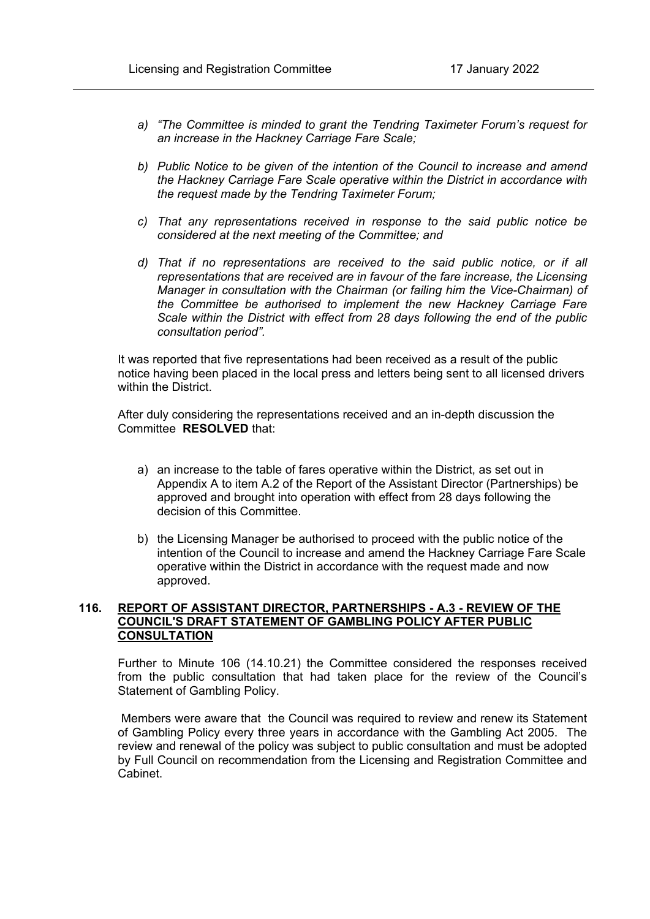- *a) "The Committee is minded to grant the Tendring Taximeter Forum's request for an increase in the Hackney Carriage Fare Scale;*
- *b) Public Notice to be given of the intention of the Council to increase and amend the Hackney Carriage Fare Scale operative within the District in accordance with the request made by the Tendring Taximeter Forum;*
- *c) That any representations received in response to the said public notice be considered at the next meeting of the Committee; and*
- *d) That if no representations are received to the said public notice, or if all representations that are received are in favour of the fare increase, the Licensing Manager in consultation with the Chairman (or failing him the Vice-Chairman) of the Committee be authorised to implement the new Hackney Carriage Fare Scale within the District with effect from 28 days following the end of the public consultation period".*

It was reported that five representations had been received as a result of the public notice having been placed in the local press and letters being sent to all licensed drivers within the District.

After duly considering the representations received and an in-depth discussion the Committee **RESOLVED** that:

- a) an increase to the table of fares operative within the District, as set out in Appendix A to item A.2 of the Report of the Assistant Director (Partnerships) be approved and brought into operation with effect from 28 days following the decision of this Committee.
- b) the Licensing Manager be authorised to proceed with the public notice of the intention of the Council to increase and amend the Hackney Carriage Fare Scale operative within the District in accordance with the request made and now approved.

# **116. REPORT OF ASSISTANT DIRECTOR, PARTNERSHIPS - A.3 - REVIEW OF THE COUNCIL'S DRAFT STATEMENT OF GAMBLING POLICY AFTER PUBLIC CONSULTATION**

Further to Minute 106 (14.10.21) the Committee considered the responses received from the public consultation that had taken place for the review of the Council's Statement of Gambling Policy.

Members were aware that the Council was required to review and renew its Statement of Gambling Policy every three years in accordance with the Gambling Act 2005. The review and renewal of the policy was subject to public consultation and must be adopted by Full Council on recommendation from the Licensing and Registration Committee and Cabinet.